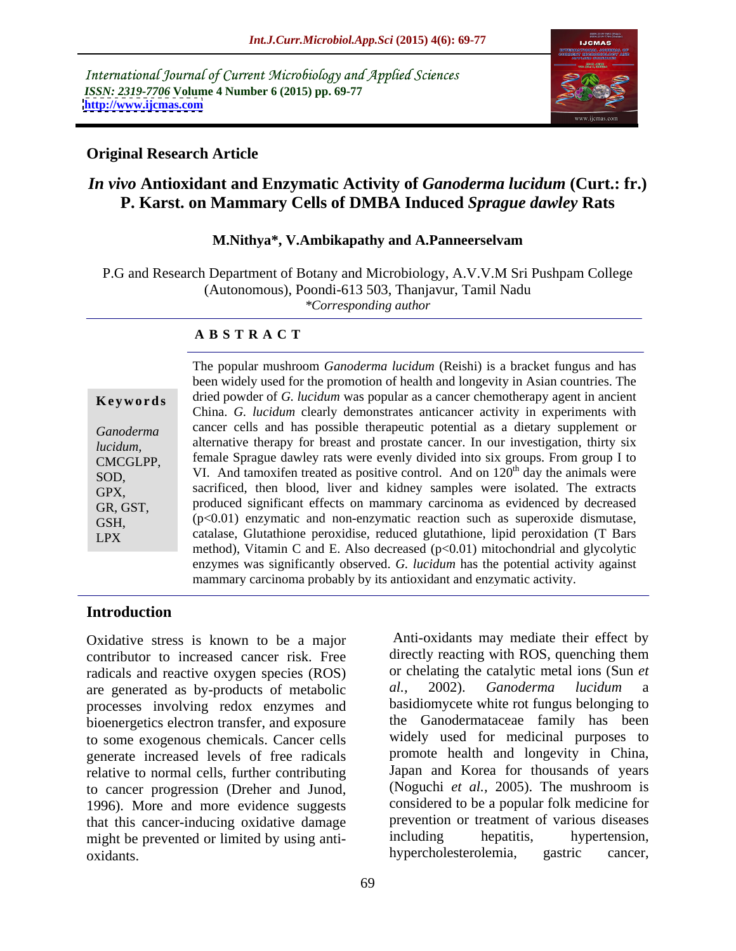International Journal of Current Microbiology and Applied Sciences *ISSN: 2319-7706* **Volume 4 Number 6 (2015) pp. 69-77 <http://www.ijcmas.com>**



## **Original Research Article**

# *In vivo* **Antioxidant and Enzymatic Activity of** *Ganoderma lucidum* **(Curt.: fr.) P. Karst. on Mammary Cells of DMBA Induced** *Sprague dawley* **Rats**

### **M.Nithya\*, V.Ambikapathy and A.Panneerselvam**

P.G and Research Department of Botany and Microbiology, A.V.V.M Sri Pushpam College (Autonomous), Poondi-613 503, Thanjavur, Tamil Nadu *\*Corresponding author*

### **A B S T R A C T**

LPX

The popular mushroom *Ganoderma lucidum* (Reishi) is a bracket fungus and has been widely used for the promotion of health and longevity in Asian countries. The dried powder of *G. lucidum* was popular as a cancer chemotherapy agent in ancient **Ke ywo rds** China. *G. lucidum* clearly demonstrates anticancer activity in experiments with Ganoderma cancer cells and has possible therapeutic potential as a dietary supplement or alternative therapy for breast and prostate cancer. In our investigation, thirty six *lucidum,* female Sprague dawley rats were evenly divided into six groups. From group I to CMCGLPP, SOD,  $VI.$  And tamoxifen treated as positive control. And on  $120<sup>th</sup>$  day the animals were <sup>th</sup> day the animals were sacrificed, then blood, liver and kidney samples were isolated. The extracts GPX, produced significant effects on mammary carcinoma as evidenced by decreased GR, GST,  $GSH$ ,  $(p<0.01)$  enzymatic and non-enzymatic reaction such as superoxide dismutase, catalase, Glutathione peroxidise, reduced glutathione, lipid peroxidation (T Bars method), Vitamin C and E. Also decreased  $(p<0.01)$  mitochondrial and glycolytic enzymes was significantly observed. *G. lucidum* has the potential activity against mammary carcinoma probably by its antioxidant and enzymatic activity.

### **Introduction**

Oxidative stress is known to be a major contributor to increased cancer risk. Free radicals and reactive oxygen species (ROS) or chelating the catalytic metal ions (Sun *et* are generated as by-products of metabolic al., 2002). Ganoderma lucidum a are generated as by-products of metabolic processes involving redox enzymes and bioenergetics electron transfer, and exposure to some exogenous chemicals. Cancer cells generate increased levels of free radicals relative to normal cells, further contributing to cancer progression (Dreher and Junod, (Noguchi *et al.*, 2005). The mushroom is<br>1996). More and more evidence suggests considered to be a popular folk medicine for that this cancer-inducing oxidative damage that the prevention or treatment of various diseases<br>might be prevented or limited by using anti-<br>including hepatitis, hypertension, might be prevented or limited by using anti-<br>
including hepatitis, hypertension,<br>
hypercholesterolemia, gastric cancer, oxidants. New hypercholesterolemia,

or chelating the catalytic metal ions (Sun *et al.,* 2002). *Ganoderma lucidum* a basidiomycete white rot fungus belonging to the Ganodermataceae family has been widely used for medicinal purposes to promote health and longevity in China, Japan and Korea for thousands of years (Noguchi *et al.,* 2005). The mushroom is considered to be a popular folk medicine for prevention or treatment of various diseases including hepatitis, hypertension, hypercholesterolemia, gastric cancer,

Anti-oxidants may mediate their effect by directly reacting with ROS, quenching them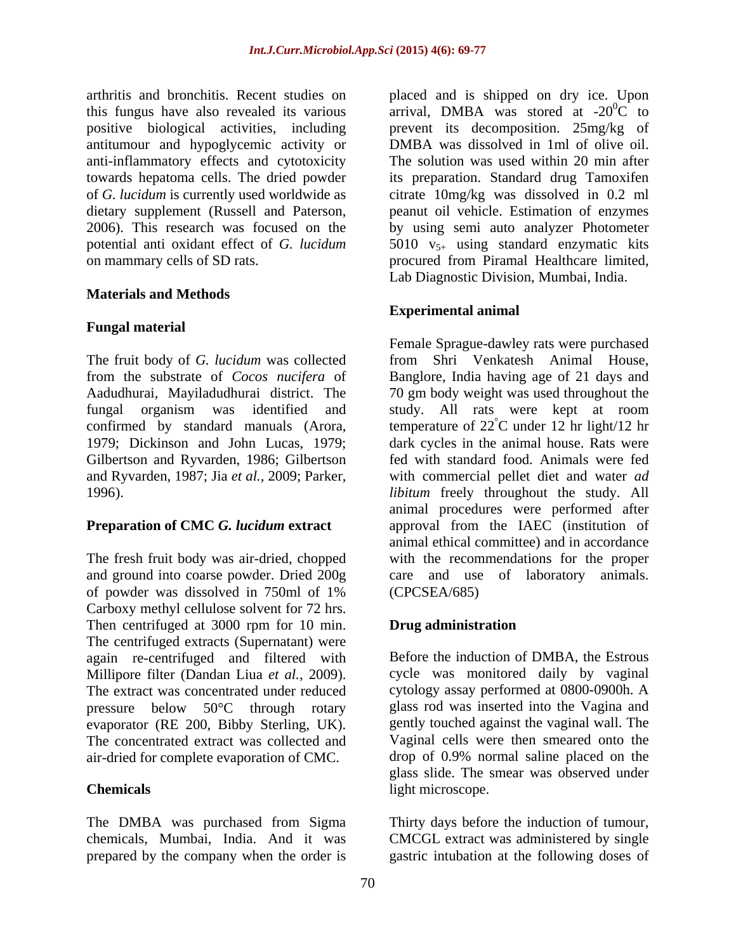antitumour and hypoglycemic activity or anti-inflammatory effects and cytotoxicity

## **Materials and Methods**

## **Fungal material**

The fruit body of *G. lucidum* was collected Gilbertson and Ryvarden, 1986; Gilbertson

The fresh fruit body was air-dried, chopped of powder was dissolved in 750ml of 1% Carboxy methyl cellulose solvent for 72 hrs. Then centrifuged at 3000 rpm for 10 min. **Drug administration** The centrifuged extracts (Supernatant) were again re-centrifuged and filtered with Millipore filter (Dandan Liua *et al.,* 2009). The extract was concentrated under reduced pressure below 50°C through rotary evaporator (RE 200, Bibby Sterling, UK). The concentrated extract was collected and Vaginal cells were then smeared onto the air-dried for complete evaporation of CMC.

The DMBA was purchased from Sigma Thirty days before the induction of tumour, chemicals, Mumbai, India. And it was CMCGL extract was administered by single prepared by the company when the order is

arthritis and bronchitis. Recent studies on placed and is shipped on dry ice. Upon this fungus have also revealed its various arrival, DMBA was stored at  $-20^0C$  to positive biological activities, including prevent its decomposition. 25mg/kg of towards hepatoma cells. The dried powder its preparation. Standard drug Tamoxifen of *G. lucidum* is currently used worldwide as citrate 10mg/kg was dissolved in 0.2 ml dietary supplement (Russell and Paterson, a peanut oil vehicle. Estimation of enzymes 2006). This research was focused on the by using semi auto analyzer Photometer potential anti oxidant effect of *G. lucidum* 5010 v<sub>5+</sub> using standard enzymatic kits on mammary cells of SD rats. procured from Piramal Healthcare limited, DMBA was dissolved in 1ml of olive oil. The solution was used within 20 min after peanut oil vehicle. Estimation of enzymes by using semi auto analyzer Photometer Lab Diagnostic Division, Mumbai, India.

# **Experimental animal**

from the substrate of *Cocos nucifera* of Banglore, India having age of 21 days and Aadudhurai, Mayiladudhurai district. The 70 gm body weight was used throughout the fungal organism was identified and study. All rats were kept at room confirmed by standard manuals (Arora, temperature of 22°C under 12 hr light/12 hr 1979; Dickinson and John Lucas, 1979; dark cycles in the animal house. Rats were and Ryvarden, 1987; Jia *et al.*, 2009; Parker, with commercial pellet diet and water *ad*<br>1996). *libitum* freely throughout the study. All **Preparation of CMC** *G. lucidum* **extract** approval from the IAEC (institution of and ground into coarse powder. Dried 200g care and use of laboratory animals. Female Sprague-dawley rats were purchased from Shri Venkatesh Animal House, temperature of  $22^{\circ}$ C under 12 hr light/12 hr °C under 12 hr light/12 hr dark cycles in the animal house. Rats were fed with standard food. Animals were fed with commercial pellet diet and water *ad*  animal procedures were performed after animal ethical committee) and in accordance with the recommendations for the proper (CPCSEA/685)

# **Drug administration**

**Chemicals** light microscope. Before the induction of DMBA, the Estrous cycle was monitored daily by vaginal cytology assay performed at 0800-0900h. A glass rod was inserted into the Vagina and gently touched against the vaginal wall. The drop of 0.9% normal saline placed on the glass slide. The smear was observed under light microscope.

gastric intubation at the following doses of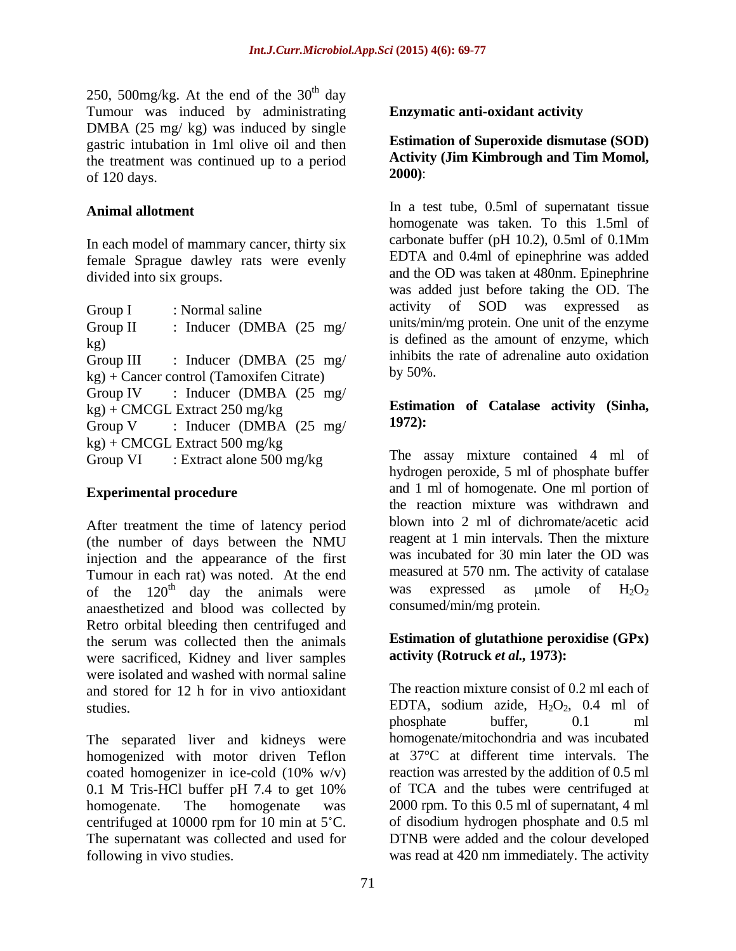250, 500mg/kg. At the end of the  $30<sup>th</sup>$  day th day Tumour was induced by administrating DMBA (25 mg/ kg) was induced by single gastric intubation in 1ml olive oil and then the treatment was continued up to a period<br>  $\begin{array}{c} \text{Activity} \\ \text{2000}: \end{array}$ of  $120 \text{ days.}$   $2000$ :

female Sprague dawley rats were evenly

| Group I<br>: Normal saline                      | activity of SOD was expressed as               |
|-------------------------------------------------|------------------------------------------------|
| : Inducer (DMBA $(25 \text{ mg}/)$<br>Group II  | units/min/mg protein. One unit of the enzyme   |
|                                                 | is defined as the amount of enzyme, which      |
| : Inducer (DMBA $(25 \text{ mg}/)$<br>Group III | inhibits the rate of adrenaline auto oxidation |
| kg) + Cancer control (Tamoxifen Citrate)        | by $50\%$ .                                    |
| Group IV : Inducer (DMBA $(25 \text{ mg}/$      |                                                |
| kg) + CMCGL Extract 250 mg/kg                   | Estimation of Catalase activity (Sinha,        |
| : Inducer (DMBA $(25 \text{ mg}/$<br>Group V    | $1972$ :                                       |
| kg) + CMCGL Extract 500 mg/kg                   |                                                |
| : Extract alone 500 mg/kg<br>Group VI           | The assay mixture contained 4 ml of            |

After treatment the time of latency period (the number of days between the NMU injection and the appearance of the first Tumour in each rat) was noted. At the end<br>of the 120<sup>th</sup> day the animals were was expressed as umole of  $H_2O_2$ anaesthetized and blood was collected by Retro orbital bleeding then centrifuged and the serum was collected then the animals were sacrificed, Kidney and liver samples were isolated and washed with normal saline and stored for 12 h for in vivo antioxidant

The separated liver and kidneys were homogenized with motor driven Teflon coated homogenizer in ice-cold (10% w/v) 0.1 M Tris-HCl buffer pH 7.4 to get 10% of TCA and the tubes were centrifuged at homogenate. The homogenate was 2000 rpm. To this 0.5 ml of supernatant, 4 ml centrifuged at 10000 rpm for 10 min at  $5^{\circ}$ C. The supernatant was collected and used for following in vivo studies. was read at 420 nm immediately. The activity

## **Enzymatic anti-oxidant activity**

### **Estimation of Superoxide dismutase (SOD) Activity (Jim Kimbrough and Tim Momol, 2000)**:

Animal allotment **In a test tube, 0.5ml** of supernatant tissue In each model of mammary cancer, thirty six carbonate buffer (pH 10.2), 0.5ml of 0.1Mm divided into six groups. and the OD was taken at 480nm. Epinephrine Group I : Normal saline activity of SOD was expressed as Group II : Inducer (DMBA (25 mg/ units/min/mg protein. One unit of the enzyme  $kg$ ) is defined as the amount of enzyme, which Group III : Inducer (DMBA (25 mg/ inhibits the rate of adrenaline auto oxidation homogenate was taken. To this 1.5ml of carbonate buffer (pH 10.2), 0.5ml of 0.1Mm EDTA and 0.4ml of epinephrine was added was added just before taking the OD. The activity of SOD was expressed as units/min/mg protein. One unit of the enzyme inhibits the rate of adrenaline auto oxidation by 50%.

## Estimation of Catalase activity (Sinha, 1972): **Estimation of Catalase activity (Sinha, 1972):**

Group VI : Extract alone 500 mg/kg The assay mixture contained 4 ml of **Experimental procedure** and 1 ml of homogenate. One ml portion of of the 120<sup>th</sup> day the animals were was expressed as umole of  $H_2O_2$ hydrogen peroxide, 5 ml of phosphate buffer the reaction mixture was withdrawn and blown into 2 ml of dichromate/acetic acid reagent at 1 min intervals. Then the mixture was incubated for 30 min later the OD was measured at 570 nm. The activity of catalase was expressed as  $\mu$ mole of  $H_2O_2$ consumed/min/mg protein.

## **Estimation of glutathione peroxidise (GPx) activity (Rotruck** *et al.,* **1973):**

studies. EDTA, sodium azide,  $H_2O_2$ , 0.4 ml of The reaction mixture consist of 0.2 ml each of phosphate buffer, 0.1 ml homogenate/mitochondria and was incubated at 37<sup>o</sup>C at different time intervals. The reaction was arrested by the addition of 0.5 ml of TCA and the tubes were centrifuged at of disodium hydrogen phosphate and 0.5 ml DTNB were added and the colour developed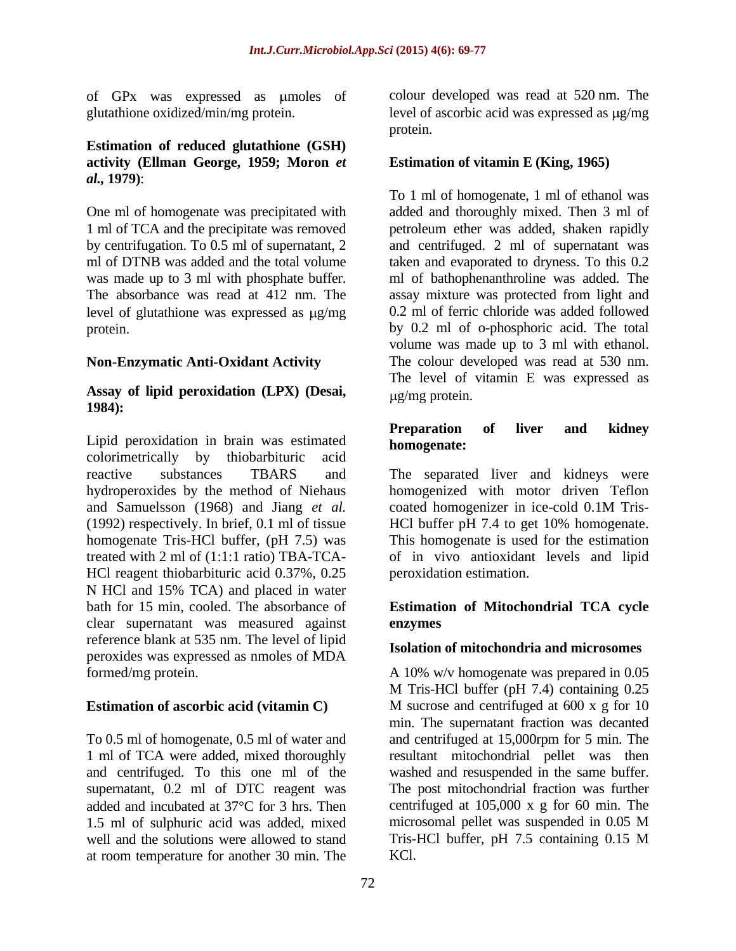of GPx was expressed as umoles of

### **Estimation of reduced glutathione (GSH) activity (Ellman George, 1959; Moron** *et al.,* **1979)**:

level of glutathione was expressed as  $\mu$ g/mg

## **Non-Enzymatic Anti-Oxidant Activity**

### **Assay of lipid peroxidation (LPX) (Desai, 1984):**

Lipid peroxidation in brain was estimated **Preparation**<br> **homogenate:** colorimetrically by thiobarbituric acid reactive substances TBARS and The separated liver and kidneys were hydroperoxides by the method of Niehaus homogenized with motor driven Teflon and Samuelsson (1968) and Jiang *et al.* coated homogenizer in ice-cold 0.1M Tris-(1992) respectively. In brief, 0.1 ml of tissue HCl buffer pH 7.4 to get 10% homogenate. homogenate Tris-HCl buffer, (pH 7.5) was This homogenate is used for the estimation treated with 2 ml of  $(1:1:1 \text{ ratio}) \text{TBA-TCA}$  of in vivo antioxidant levels and lipid HCl reagent thiobarbituric acid 0.37%, 0.25 N HCl and 15% TCA) and placed in water bath for 15 min, cooled. The absorbance of **Estimation of Mitochondrial TCA cycle**  clear supernatant was measured against reference blank at 535 nm. The level of lipid peroxides was expressed as nmoles of MDA

To 0.5 ml of homogenate, 0.5 ml of water and and centrifuged at 15,000rpm for 5 min. The 1 ml of TCA were added, mixed thoroughly resultant mitochondrial pellet was then and centrifuged. To this one ml of the supernatant, 0.2 ml of DTC reagent was The post mitochondrial fraction was further added and incubated at  $37^{\circ}$ C for 3 hrs. Then centrifuged at  $105,000 \times g$  for 60 min. The 1.5 ml of sulphuric acid was added, mixed microsomal pellet was suspended in 0.05 M well and the solutions were allowed to stand Tris-HCl buffer, pH 7.5 containing 0.15 M at room temperature for another 30 min. The

glutathione oxidized/min/mg protein. level of ascorbic acid was expressed as  $\mu$ g/mg colour developed was read at 520 nm. The protein.

# **Estimation of vitamin E (King, 1965)**

One ml of homogenate was precipitated with added and thoroughly mixed. Then 3 ml of 1 ml of TCA and the precipitate was removed petroleum ether was added, shaken rapidly by centrifugation. To 0.5 ml of supernatant, 2 and centrifuged. 2 ml of supernatant was ml of DTNB was added and the total volume taken and evaporated to dryness. To this 0.2 was made up to 3 ml with phosphate buffer. ml of bathophenanthroline was added. The The absorbance was read at 412 nm. The assay mixture was protected from light and protein. by 0.2 ml of o-phosphoric acid. The total To 1 ml of homogenate, 1 ml of ethanol was 0.2 ml of ferric chloride was added followed volume was made up to 3 ml with ethanol. The colour developed was read at 530 nm. The level of vitamin E was expressed as g/mg protein.

## **Preparation of liver and kidney homogenate:**

coated homogenizer in ice-cold 0.1M Tris peroxidation estimation.

# **enzymes**

## **Isolation of mitochondria and microsomes**

formed/mg protein. A 10% w/v homogenate was prepared in 0.05 **Estimation of ascorbic acid (vitamin C)** M sucrose and centrifuged at 600 x g for 10 M Tris-HCl buffer (pH 7.4) containing 0.25 min. The supernatant fraction was decanted washed and resuspended in the same buffer. microsomal pellet was suspended in 0.05 M Tris-HCl buffer, pH 7.5 containing 0.15 M KCl.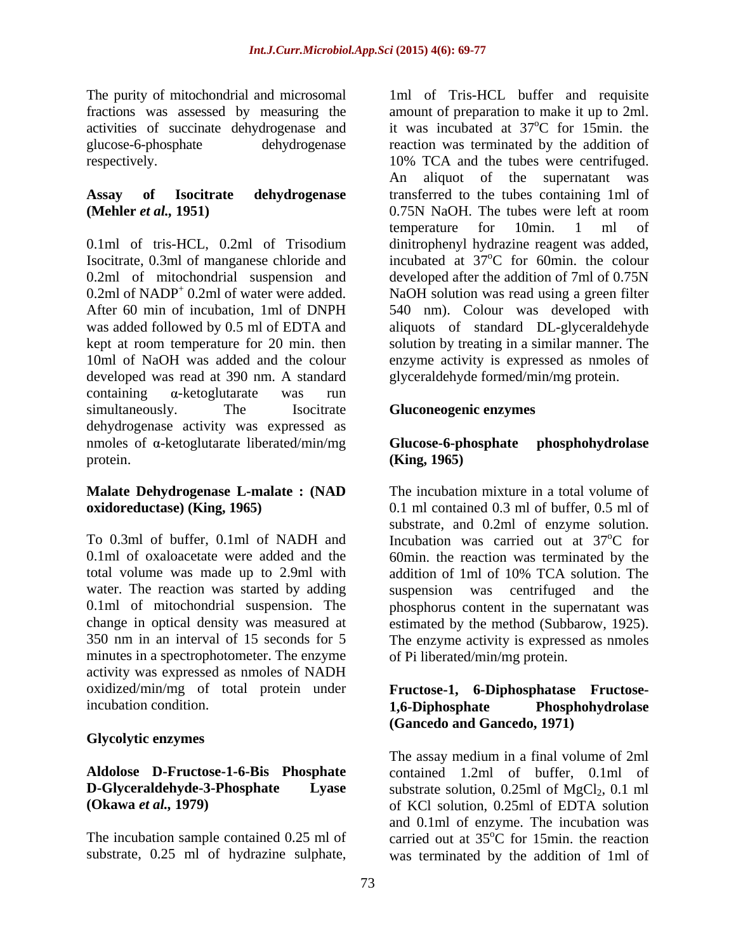activities of succinate dehydrogenase and

# **(Mehler** *et al.***, 1951) 0.75N NaOH. The tubes were left at room**

developed was read at 390 nm. A standard  $\alpha$ -ketoglutarate was run simultaneously. The Isocitrate Gluconeogenic enzymes dehydrogenase activity was expressed as nmoles of  $\alpha$ -ketoglutarate liberated/min/mg **Glucose-6-phosphate phosphohydrolase** protein. **(King, 1965)** 

# **Malate Dehydrogenase L-malate : (NAD**

To 0.3ml of buffer, 0.1ml of NADH and Incubation was carried out at 37<sup>o</sup>C for 0.1ml of oxaloacetate were added and the 60min. the reaction was terminated by the total volume was made up to 2.9ml with addition of 1ml of 10% TCA solution. The water. The reaction was started by adding suspension was centrifuged and the 0.1ml of mitochondrial suspension. The phosphorus content in the supernatant was change in optical density was measured at estimated by the method (Subbarow, 1925). 350 nm in an interval of 15 seconds for 5 The enzyme activity is expressed as nmoles minutes in a spectrophotometer. The enzyme activity was expressed as nmoles of NADH oxidized/min/mg of total protein under

## **Glycolytic enzymes**

The purity of mitochondrial and microsomal 1ml of Tris-HCL buffer and requisite fractions was assessed by measuring the amount of preparation to make itup to 2ml. glucose-6-phosphate dehydrogenase reaction was terminated by the addition of respectively. 10% TCA and the tubes were centrifuged. **Assay of Isocitrate dehydrogenase**  transferred to the tubes containing 1ml of 0.1ml of tris-HCL, 0.2ml of Trisodium dinitrophenyl hydrazine reagent was added, Isocitrate, 0.3ml of manganese chloride and incubated at 37<sup>o</sup>C for 60min. the colour 0.2ml of mitochondrial suspension and developed after the addition of 7ml of 0.75N  $0.2$ ml of NADP<sup>+</sup> 0.2ml of water were added. NaOH solution was read using a green filter After 60 min of incubation, 1ml of DNPH 540 nm). Colour was developed with was added followed by 0.5 ml of EDTA and aliquots of standard DL-glyceraldehyde kept at room temperature for 20 min. then solution by treating in a similar manner. The 10ml of NaOH was added and the colour enzyme activity is expressed as nmoles of it was incubated at  $37^{\circ}$ C for 15min, the  $\rm{^{\circ}C}$  for 15min. the An aliquot of the supernatant was 0.75N NaOH. The tubes were left at room temperature for 10min. 1 ml of  $\rm ^{o}C$  for 60min. the colour glyceraldehyde formed/min/mg protein.

## **Gluconeogenic enzymes**

## **Glucose-6-phosphate phosphohydrolase (King, 1965)**

**oxidoreductase) (King, 1965)** 0.1 ml contained 0.3 ml of buffer, 0.5 ml of The incubation mixture in a total volume of substrate, and 0.2ml of enzyme solution. <sup>o</sup>C for suspension was centrifuged and the estimated by the method (Subbarow, 1925). The enzyme activity is expressed as nmoles of Pi liberated/min/mg protein.

### incubation condition. 1,6-Diphosphate Phosphohydrolase **Fructose-1, 6-Diphosphatase Fructose- 1,6-Diphosphate Phosphohydrolase (Gancedo and Gancedo, 1971)**

**Aldolose D-Fructose-1-6-Bis Phosphate** contained 1.2ml of buffer, 0.1ml of **D-Glyceraldehyde-3-Phosphate** Lyase substrate solution, 0.25ml of MgCl<sub>2</sub>, 0.1 ml **(Okawa** *et al.,* **1979)** of KCl solution, 0.25ml of EDTA solution The incubation sample contained  $0.25$  ml of carried out at  $35^{\circ}$ C for 15min. the reaction substrate, 0.25 ml of hydrazine sulphate, was terminated by the addition of 1ml ofThe assay medium in a final volume of 2ml and 0.1ml of enzyme. The incubation was  $\rm{^{\circ}C}$  for 15min. the reaction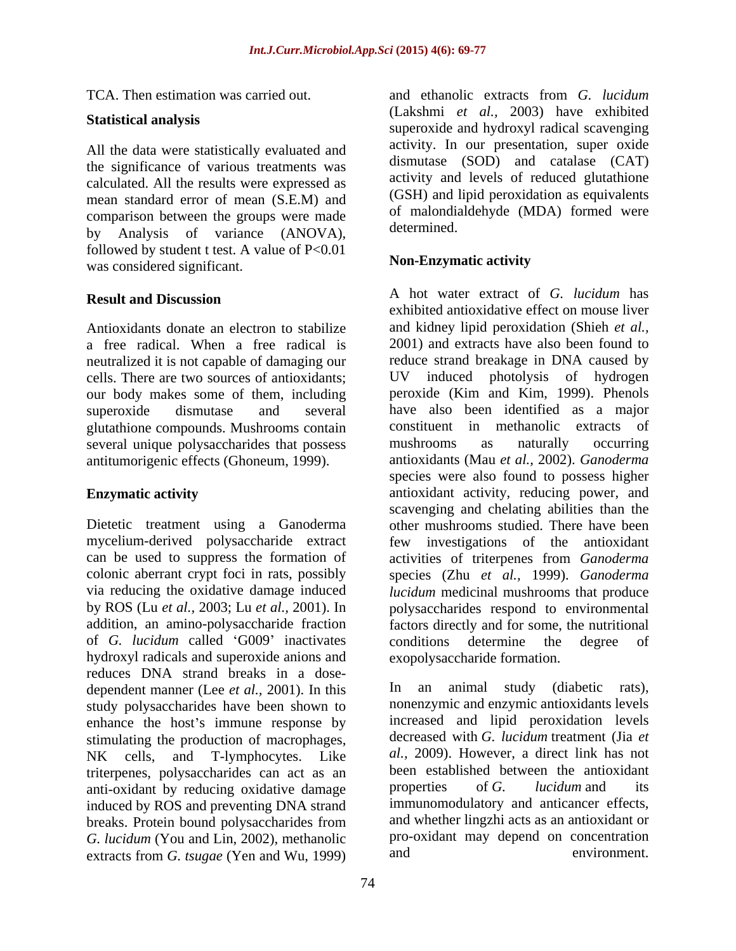All the data were statistically evaluated and the significance of various treatments was calculated. All the results were expressed as mean standard error of mean (S.E.M) and comparison between the groups were made  $\frac{01 \text{ malond}}{\text{determined}}$ by Analysis of variance (ANOVA), followed by student t test. A value of  $P < 0.01$ <br>Was considered significant<br>Non-Enzymatic activity was considered significant.

Antioxidants donate an electron to stabilize neutralized it is not capable of damaging our glutathione compounds. Mushrooms contain constituent in methanolic extracts of several unique polysaccharides that possess mushrooms as naturally occurring several unique polysaccharides that possess mushrooms as naturally occurring antitumorigenic effects (Ghoneum, 1999).

of *G. lucidum* called G009 inactivates hydroxyl radicals and superoxide anions and reduces DNA strand breaks in a dose-<br>dependent manner (Lee *et al.* 2001) In this  $\begin{bmatrix} \n\end{bmatrix}$  In an dependent manner (Lee *et al.,* 2001). In this study polysaccharides have been shown to enhance the host's immune response by stimulating the production of macrophages, NK cells, and T-lymphocytes. Like triterpenes, polysaccharides can act as an been established between the antioxidant<br>anti-oxidant by reducing oxidative damage properties of G. *lucidum* and its anti-oxidant by reducing oxidative damage induced by ROS and preventing DNA strand *G. lucidum* (You and Lin, 2002), methanolic pro-oxidant may depend on concentration extracts from *G* tsugge (Yen and W<sub>1</sub> 1999) and environment. extracts from *G. tsugae* (Yen and Wu, 1999)

TCA. Then estimation was carried out. The and ethanolic extracts from G. *lucidum* Statistical analysis<br>
superoxide and hydroxyl radical scavenging and ethanolic extracts from *G. lucidum* (Lakshmi *et al.,* 2003) have exhibited activity. In our presentation, super oxide dismutase (SOD) and catalase (CAT) activity and levels of reduced glutathione (GSH) and lipid peroxidation as equivalents of malondialdehyde (MDA) formed were determined.

# **Non-Enzymatic activity**

**Result and Discussion Result and Discussion Result and Discussion Result and Discussion** a free radical. When a free radical is 2001) and extracts have also been found to cells. There are two sources of antioxidants; UV induced photolysis of hydrogen our body makes some of them, including peroxide (Kim and Kim, 1999). Phenols superoxide dismutase and several have also been identified as a major **Enzymatic activity** antioxidant activity, reducing power, and Dietetic treatment using a Ganoderma other mushrooms studied. There have been mycelium-derived polysaccharide extract few investigations of the antioxidant can be used to suppress the formation of activities of triterpenes from *Ganoderma*  colonic aberrant crypt foci in rats, possibly species (Zhu *et al.,* 1999). *Ganoderma*  via reducing the oxidative damage induced *lucidum* medicinal mushrooms that produce by ROS (Lu *et al.,* 2003; Lu *et al.,* 2001). In polysaccharides respond to environmental addition, an amino-polysaccharide fraction factors directly and for some, the nutritional A hot water extract of *G. lucidum* has exhibited antioxidative effect on mouse liver and kidney lipid peroxidation (Shieh *et al.,* reduce strand breakage in DNA caused by constituent in methanolic extracts mushrooms as naturally occurring antioxidants (Mau *et al.,* 2002). *Ganoderma*  species were also found to possess higher scavenging and chelating abilities than the conditions determine the degree of exopolysaccharide formation.

breaks. Protein bound polysaccharides from animal study (diabetic rats), nonenzymic and enzymic antioxidants levels increased and lipid peroxidation levels decreased with *G. lucidum* treatment (Jia *et al.,* 2009). However, a direct link has not been established between the antioxidant properties of *G. lucidum* and its immunomodulatory and anticancer effects, and whether lingzhi acts as an antioxidant or pro-oxidant may depend on concentration and environment.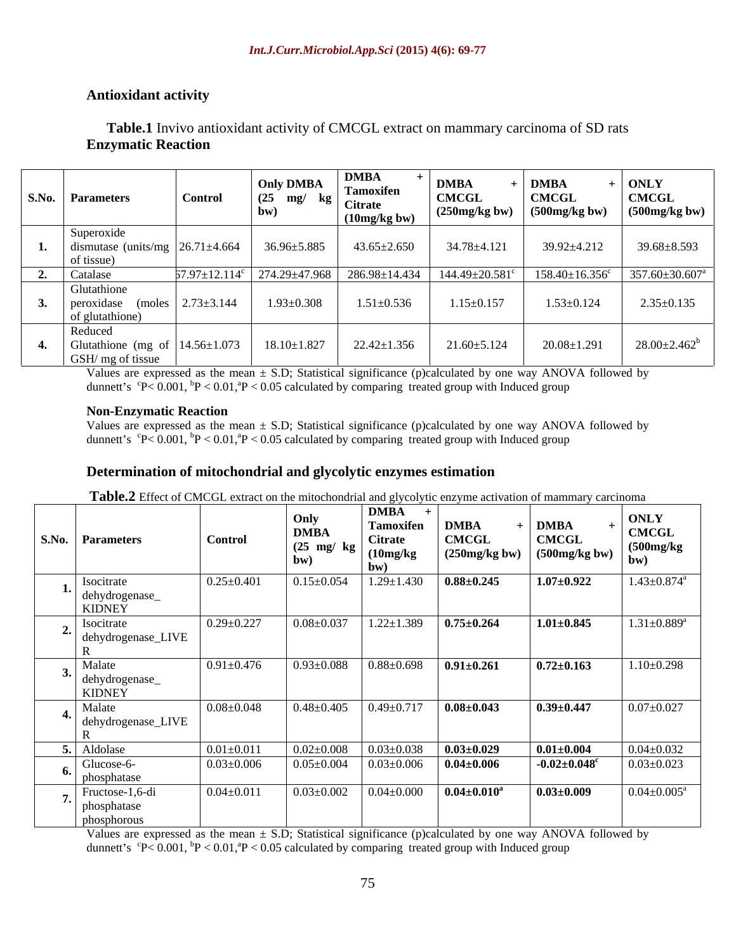## **Antioxidant activity**

## **Table.1** Invivo antioxidant activity of CMCGL extract on mammary carcinoma of SD rats **Enzymatic Reaction**

| <b>S.No. Parameters</b>                                                    | <b>Control</b> | <b>Only DMBA</b><br>$\begin{array}{c c} \text{1} & (25 \text{ mg/ kg}) \\ \hline \end{array}$ Citrate<br>(bw | <b>DMBA</b><br>Tamoxifen<br>(10mg/kg bw) | <b>DMBA</b><br><b>CMCGL</b><br>$\vert$ (250mg/kg bw) $\vert$ (500mg/kg bw) | <b>DMBA</b><br><b>CMCGL</b> | <b>ONLY</b><br><b>CMCGL</b><br>$(500mg/kg)$ bw |
|----------------------------------------------------------------------------|----------------|--------------------------------------------------------------------------------------------------------------|------------------------------------------|----------------------------------------------------------------------------|-----------------------------|------------------------------------------------|
| Superoxide                                                                 |                |                                                                                                              |                                          |                                                                            |                             |                                                |
| dismutase (units/mg $\left  \frac{26.71 \pm 4.664}{\right }$<br>of tissue) |                | 36.96±5.885                                                                                                  | $43.65 \pm 2.650$                        | 34.78±4.121                                                                | 39.92±4.212                 | 39.68±8.593                                    |
| Catalase                                                                   |                | $57.97 \pm 12.114^c$   274.29 $\pm$ 47.968   286.98 $\pm$ 14.434                                             |                                          | $144.49 \pm 20.581$ <sup>c</sup>                                           |                             | $158.40 \pm 16.356^c$ $357.60 \pm 30.607^a$    |
| Glutathione<br>peroxidase (moles $2.73\pm3.144$<br>of glutathione)         |                | $1.93 \pm 0.308$                                                                                             | $1.51 \pm 0.536$                         | $1.15 \pm 0.157$                                                           | $1.53 \pm 0.124$            | $2.35 \pm 0.135$                               |
| Reduced<br>Glutathione (mg of $14.56 \pm 1.073$ )<br>GSH/ mg of tissue     |                | $18.10 \pm 1.827$                                                                                            | $22.42 \pm 1.356$                        | $21.60 \pm 5.124$                                                          | $20.08 \pm 1.291$           | $28.00 \pm 2.462^b$                            |

Values are expressed as the mean  $\pm$  S.D; Statistical significance (p)calculated by one way ANOVA followed by dunnett's  ${}^{\circ}P < 0.001$ ,  ${}^{\circ}P < 0.01$ ,  ${}^{\circ}P < 0.05$  calculated by comparing treated group with Induced group

### **Non-Enzymatic Reaction**

Values are expressed as the mean  $\pm$  S.D; Statistical significance (p)calculated by one way ANOVA followed by dunnett's  ${}^{c}P< 0.001$ ,  ${}^{b}P< 0.01$ ,  ${}^{a}P< 0.05$  calculated by comparing treated group with Induced group

### **Determination of mitochondrial and glycolytic enzymes estimation**

**Table.2** Effect of CMCGL extract on the mitochondrial and glycolytic enzyme activation of mammary carcinoma

| <b>S.No.</b> Parameters                                | <b>Control</b>   | Only<br><b>DMBA</b><br>$(25 \text{ mg}/ \text{ kg})$<br>bw) | <b>DMBA</b><br>Tamoxifen<br><b>Citrate</b><br>(10mg/kg)<br>hw | <b>DMBA</b><br><b>CMCGL</b><br>(250mg/kg) | <b>DMBA</b><br><b>CMCGL</b><br>$(500mg/kg)$ bw) | <b>ONLY</b><br><b>CMCGL</b><br>(500mg/kg)<br>bw) |
|--------------------------------------------------------|------------------|-------------------------------------------------------------|---------------------------------------------------------------|-------------------------------------------|-------------------------------------------------|--------------------------------------------------|
| Isocitrate<br>dehydrogenase_<br>KIDNEY                 | $0.25 \pm 0.401$ | $0.15 \pm 0.054$                                            | $1.29 \pm 1.430$                                              | $0.88 \pm 0.245$                          | $1.07 \pm 0.922$                                | $1.43 \pm 0.874$ <sup>a</sup>                    |
| Isocitrate<br>′'<br>dehydrogenase_LIVE                 | $0.29 \pm 0.227$ | $0.08 \pm 0.037$                                            | $1.22 \pm 1.389$                                              | $0.75 \pm 0.264$                          | $1.01 \pm 0.845$                                | $1.31 \pm 0.889$ <sup>a</sup>                    |
| Malate<br>$\mathcal{F}$ dehydrogenase<br><b>KIDNEY</b> | $0.91 \pm 0.476$ | $0.93 \pm 0.088$                                            | $0.88 \pm 0.698$                                              | $0.91 \pm 0.261$                          | $0.72 \pm 0.163$                                | $1.10 \pm 0.298$                                 |
| Malate<br>dehydrogenase_LIVE                           | $0.08 \pm 0.048$ | $0.48{\pm}0.405$                                            | $0.49 \pm 0.717$                                              | $0.08 \pm 0.043$                          | $0.39 \pm 0.447$                                | $0.07 \pm 0.027$                                 |
| Aldolase                                               | $0.01 \pm 0.011$ | $0.02 \pm 0.008$                                            | $0.03 \pm 0.038$                                              | $0.03 \pm 0.029$                          | $0.01 \pm 0.004$                                | $0.04 \pm 0.032$                                 |
| Glucose-6-<br>phosphatase                              | $0.03 \pm 0.006$ | $0.05 \pm 0.004$                                            | $0.03 \pm 0.006$                                              | $0.04 \pm 0.006$                          | $-0.02 \pm 0.048$ <sup>c</sup>                  | $0.03 \pm 0.023$                                 |
| Fructose-1,6-di<br>phosphatase<br>phosphorous          | $0.04 \pm 0.011$ | $0.03 \pm 0.002$                                            | $0.04 \pm 0.000$                                              | $0.04 \pm 0.010^a$                        | $0.03 \pm 0.009$                                | $0.04{\pm0.005^{\rm a}}$                         |

Values are expressed as the mean  $\pm$  S.D; Statistical significance (p)calculated by one way ANOVA followed by dunnett's  $\rm{^6P< 0.001, ^{^6}P< 0.01, ^{^8}P< 0.05}$  calculated by comparing treated group with Induced group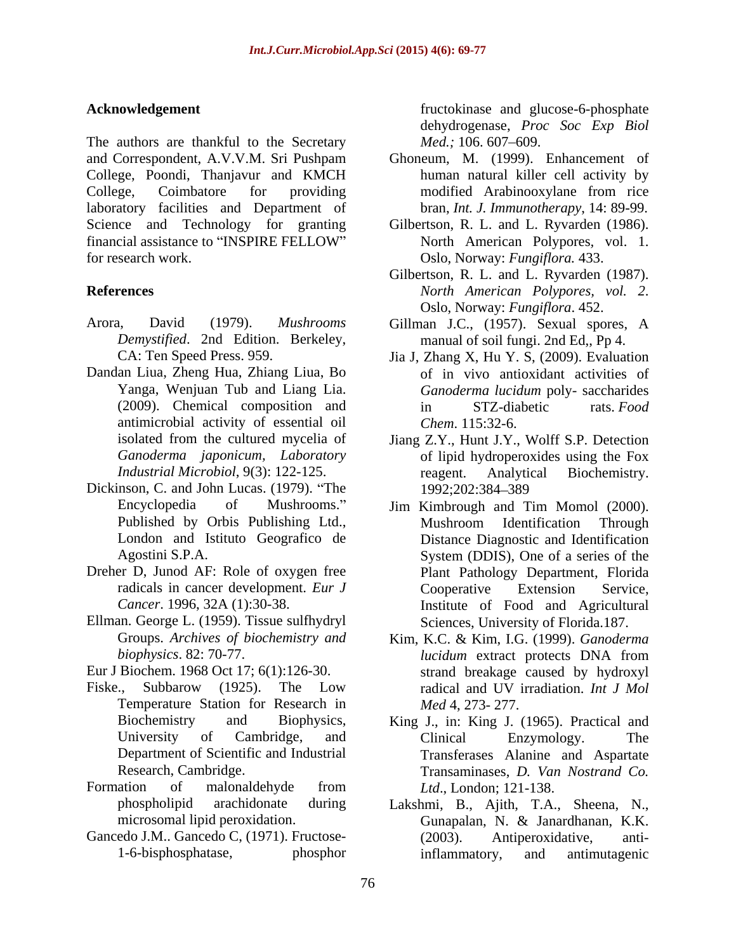The authors are thankful to the Secretary *Med.*; 106.607–609. and Correspondent, A.V.V.M. Sri Pushpam College, Poondi, Thanjavur and KMCH College, Coimbatore for providing modified Arabinooxylane from rice laboratory facilities and Department of Science and Technology for granting Gilbertson, R. L. and L. Ryvarden (1986). financial assistance to "INSPIRE FELLOW" North American Polypores, vol. 1. for research work. Oslo, Norway: Fungiflora. 433.

- 
- Dandan Liua, Zheng Hua, Zhiang Liua, Bo antimicrobial activity of essential oil
- Dickinson, C. and John Lucas. (1979). "The 1992;202:384-389 London and Istituto Geografico de
- Dreher D, Junod AF: Role of oxygen free
- Ellman. George L. (1959). Tissue sulfhydryl
- Eur J Biochem. 1968 Oct 17; 6(1):126-30.
- Fiske., Subbarow (1925). The Low radical and UV irradiation. *Int J Mol* Temperature Station for Research in
- 
- 

**Acknowledgement** *Acknowledgement CON* dehydrogenase, *Proc Soc Exp Biol Med.*; 106. 607–609.

- Ghoneum, M. (1999). Enhancement of human natural killer cell activity by modified Arabinooxylane from rice bran, *Int. J. Immunotherapy*, 14: 89-99.
- North American Polypores*,* vol. 1. Oslo, Norway: *Fungiflora.* 433.
- **References** North American Polypores, vol. 2. Gilbertson, R. L. and L. Ryvarden (1987). *North American Polypores, vol. <sup>2</sup>*. Oslo, Norway: *Fungiflora*. 452.
- Arora, David (1979). *Mushrooms*  Gillman J.C., (1957). Sexual spores, A *Demystified*. 2nd Edition. Berkeley, manual of soil fungi. 2nd Ed,, Pp 4.
	- CA: Ten Speed Press. 959. Jia J, Zhang X, Hu Y. S, (2009). Evaluation Yanga, Wenjuan Tub and Liang Lia. *Ganoderma lucidum* poly- saccharides (2009). Chemical composition and in STZ-diabetic rats. Food of in vivo antioxidant activities of in STZ-diabetic rats. *Food Chem*. 115:32-6.
	- isolated from the cultured mycelia of Jiang Z.Y., Hunt J.Y., Wolff S.P. Detection *Ganoderma japonicum, Laboratory* of lipid hydroperoxides using the Fox *Industrial Microbiol*, 9(3): 122-125. reagent. Analytical Biochemistry. 1992;202:384 389
	- Encyclopedia of Mushrooms." Jim Kimbrough and Tim Momol (2000). Published by Orbis Publishing Ltd., Agostini S.P.A. System (DDIS), One of a series of the radicals in cancer development. *Eur J* Cooperative Extension Service, *Cancer*. 1996, 32A (1):30-38. Institute of Food and Agricultural Mushroom Identification Through Distance Diagnostic and Identification Plant Pathology Department, Florida Cooperative Extension Service, Sciences, University of Florida.187.
	- Groups. *Archives of biochemistry and* Kim, K.C. & Kim, I.G. (1999). *Ganoderma biophysics*. 82: 70-77. *lucidum* extract protects DNA from strand breakage caused by hydroxyl radical and UV irradiation. *Int J Mol Med* 4, 273- 277.
- Biochemistry and Biophysics, King J., in: King J. (1965). Practical and University of Cambridge, and Clinical Enzymology. The Department of Scientific and Industrial Transferases Alanine and Aspartate Research, Cambridge. Transaminases, *D. Van Nostrand Co.* Formation of malonaldehyde from *Ltd.*, London; 121-138. Clinical Enzymology. The *Ltd*., London; 121-138.
- phospholipid arachidonate during Lakshmi, B., Ajith, T.A., Sheena, N., microsomal lipid peroxidation. Gunapalan, N. & Janardhanan, K.K. Gancedo J.M.. Gancedo C, (1971). Fructose- (2003). Antiperoxidative, anti-1-6-bisphosphatase, phosphor inflammatory, and antimutagenic Gunapalan, N. & Janardhanan, K.K. Antiperoxidative, inflammatory, and antimutagenic